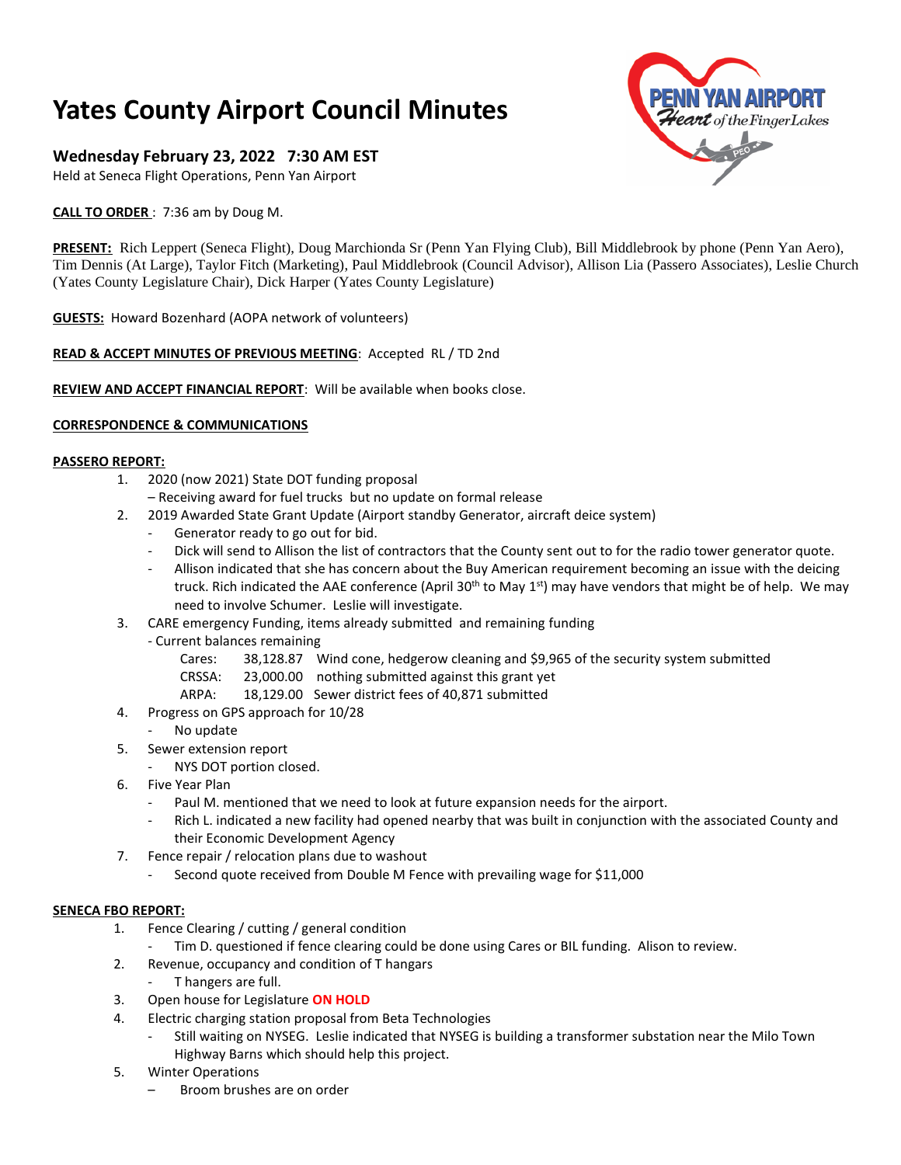# **Yates County Airport Council Minutes**

# **Wednesday February 23, 2022 7:30 AM EST**

Held at Seneca Flight Operations, Penn Yan Airport

**CALL TO ORDER** : 7:36 am by Doug M.

**PRESENT:** Rich Leppert (Seneca Flight), Doug Marchionda Sr (Penn Yan Flying Club), Bill Middlebrook by phone (Penn Yan Aero), Tim Dennis (At Large), Taylor Fitch (Marketing), Paul Middlebrook (Council Advisor), Allison Lia (Passero Associates), Leslie Church (Yates County Legislature Chair), Dick Harper (Yates County Legislature)

**GUESTS:** Howard Bozenhard (AOPA network of volunteers)

# **READ & ACCEPT MINUTES OF PREVIOUS MEETING**: Accepted RL / TD 2nd

**REVIEW AND ACCEPT FINANCIAL REPORT**: Will be available when books close.

## **CORRESPONDENCE & COMMUNICATIONS**

#### **PASSERO REPORT:**

- 1. 2020 (now 2021) State DOT funding proposal
	- Receiving award for fuel trucks but no update on formal release
- 2. 2019 Awarded State Grant Update (Airport standby Generator, aircraft deice system)
	- Generator ready to go out for bid.
	- Dick will send to Allison the list of contractors that the County sent out to for the radio tower generator quote.
	- Allison indicated that she has concern about the Buy American requirement becoming an issue with the deicing truck. Rich indicated the AAE conference (April 30<sup>th</sup> to May 1<sup>st</sup>) may have vendors that might be of help. We may need to involve Schumer. Leslie will investigate.
- 3. CARE emergency Funding, items already submitted and remaining funding
	- Current balances remaining
		- Cares: 38,128.87 Wind cone, hedgerow cleaning and \$9,965 of the security system submitted
		- CRSSA: 23,000.00 nothing submitted against this grant yet
		- ARPA: 18,129.00 Sewer district fees of 40,871 submitted
- 4. Progress on GPS approach for 10/28
	- No update
- 5. Sewer extension report
	- NYS DOT portion closed.
- 6. Five Year Plan
	- Paul M. mentioned that we need to look at future expansion needs for the airport.
	- Rich L. indicated a new facility had opened nearby that was built in conjunction with the associated County and their Economic Development Agency
- 7. Fence repair / relocation plans due to washout
	- Second quote received from Double M Fence with prevailing wage for \$11,000

#### **SENECA FBO REPORT:**

- 1. Fence Clearing / cutting / general condition
	- Tim D. questioned if fence clearing could be done using Cares or BIL funding. Alison to review.
- 2. Revenue, occupancy and condition of T hangars
	- T hangers are full.
- 3. Open house for Legislature **ON HOLD**
- 4. Electric charging station proposal from Beta Technologies
	- Still waiting on NYSEG. Leslie indicated that NYSEG is building a transformer substation near the Milo Town Highway Barns which should help this project.
- 5. Winter Operations
	- Broom brushes are on order